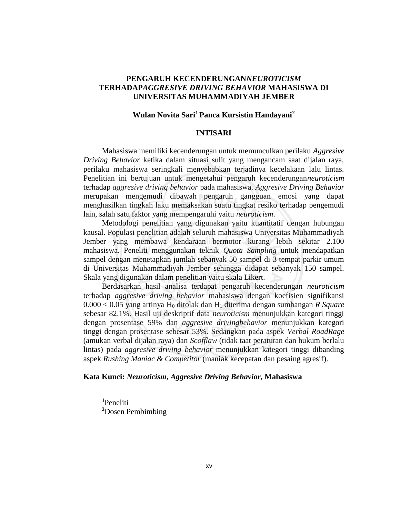## **PENGARUH KECENDERUNGAN***NEUROTICISM* **TERHADAP***AGGRESIVE DRIVING BEHAVIOR* **MAHASISWA DI UNIVERSITAS MUHAMMADIYAH JEMBER**

# **Wulan Novita Sari<sup>1</sup>Panca Kursistin Handayani<sup>2</sup>**

#### **INTISARI**

 Mahasiswa memiliki kecenderungan untuk memunculkan perilaku *Aggresive Driving Behavior* ketika dalam situasi sulit yang mengancam saat dijalan raya, perilaku mahasiswa seringkali menyebabkan terjadinya kecelakaan lalu lintas. Penelitian ini bertujuan untuk mengetahui pengaruh kecenderungan*neuroticism* terhadap *aggresive driving behavior* pada mahasiswa. *Aggresive Driving Behavior* merupakan mengemudi dibawah pengaruh gangguan emosi yang dapat menghasilkan tingkah laku memaksakan suatu tingkat resiko terhadap pengemudi lain, salah satu faktor yang mempengaruhi yaitu *neuroticism*.

 Metodologi penelitian yang digunakan yaitu kuantitatif dengan hubungan kausal. Populasi penelitian adalah seluruh mahasiswa Universitas Muhammadiyah Jember yang membawa kendaraan bermotor kurang lebih sekitar 2.100 mahasiswa. Peneliti menggunakan teknik *Quota Sampling* untuk mendapatkan sampel dengan menetapkan jumlah sebanyak 50 sampel di 3 tempat parkir umum di Universitas Muhammadiyah Jember sehingga didapat sebanyak 150 sampel. Skala yang digunakan dalam penelitian yaitu skala Likert.

 Berdasarkan hasil analisa terdapat pengaruh kecenderungan *neuroticism* terhadap *aggresive driving behavior* mahasiswa dengan koefisien signifikansi 0.000 < 0.05 yang artinya H0 ditolak dan H1 diterima dengan sumbangan *R Square* sebesar 82.1%. Hasil uji deskriptif data *neuroticism* menunjukkan kategori tinggi dengan prosentase 59% dan *aggresive drivingbehavior* menunjukkan kategori tinggi dengan prosentase sebesar 53%. Sedangkan pada aspek *Verbal RoadRage* (amukan verbal dijalan raya) dan *Scofflaw* (tidak taat peraturan dan hukum berlalu lintas) pada *aggresive driving behavior* menunjukkan kategori tinggi dibanding aspek *Rushing Maniac & Competitor* (maniak kecepatan dan pesaing agresif).

#### **Kata Kunci:** *Neuroticism***,** *Aggresive Driving Behavior***, Mahasiswa**

**<sup>1</sup>**Peneliti **<sup>2</sup>**Dosen Pembimbing